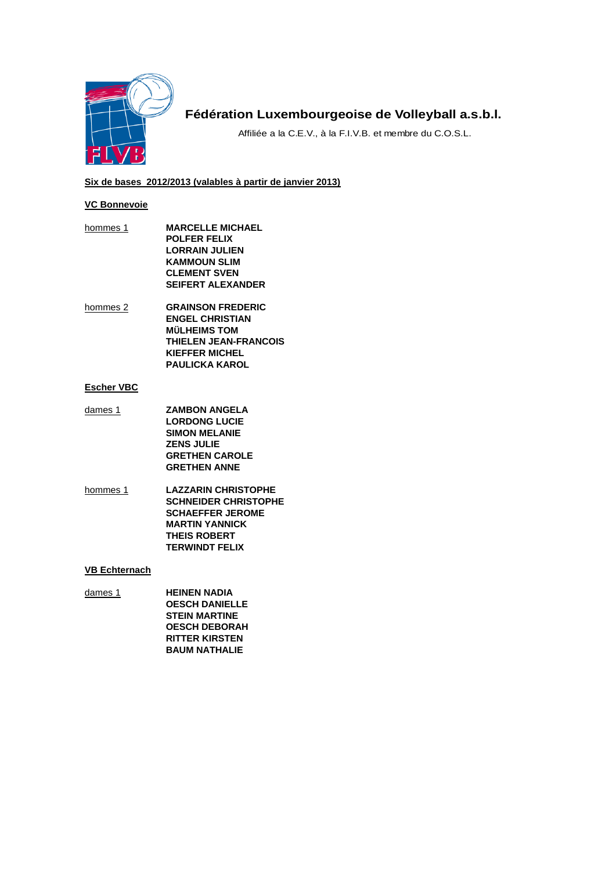

# **Fédération Luxembourgeoise de Volleyball a.s.b.l.**

Affiliée a la C.E.V., à la F.I.V.B. et membre du C.O.S.L.

## **Six de bases 2012/2013 (valables à partir de janvier 2013)**

## **VC Bonnevoie**

- hommes 1 **MARCELLE MICHAEL POLFER FELIX LORRAIN JULIEN KAMMOUN SLIM CLEMENT SVEN SEIFERT ALEXANDER**
- hommes 2 **GRAINSON FREDERIC ENGEL CHRISTIAN MÜLHEIMS TOM THIELEN JEAN-FRANCOIS KIEFFER MICHEL PAULICKA KAROL**

## **Escher VBC**

- dames 1 **ZAMBON ANGELA LORDONG LUCIE SIMON MELANIE ZENS JULIE GRETHEN CAROLE GRETHEN ANNE**
- hommes 1 **LAZZARIN CHRISTOPHE SCHNEIDER CHRISTOPHE SCHAEFFER JEROME MARTIN YANNICK THEIS ROBERT TERWINDT FELIX**

### **VB Echternach**

dames 1 **HEINEN NADIA OESCH DANIELLE STEIN MARTINE OESCH DEBORAH RITTER KIRSTEN BAUM NATHALIE**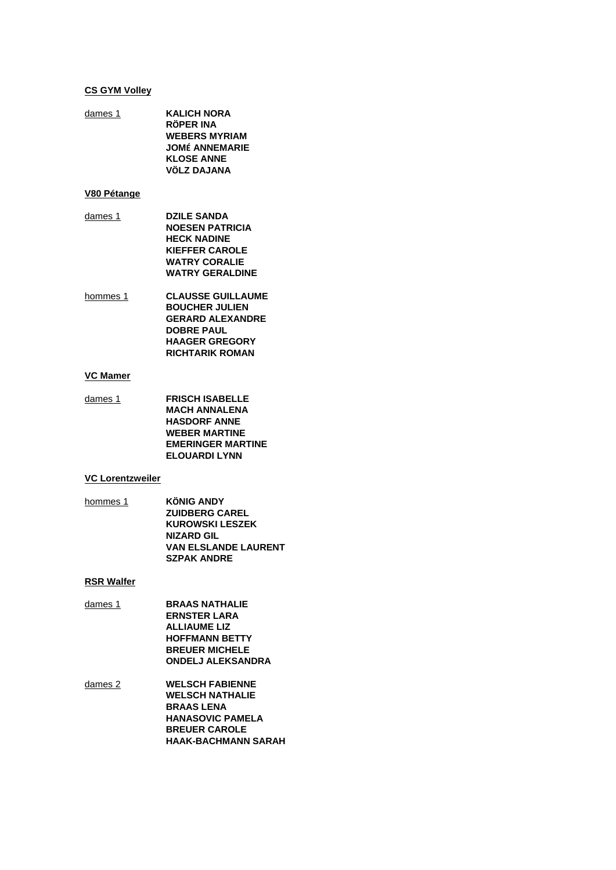#### **CS GYM Volley**

**KALICH NORA** dames 1 **RÖPER INA WEBERS MYRIAM JOMÉ ANNEMARIE KLOSE ANNE VÖLZ DAJANA** 

#### V80 Pétange

- dames 1 **DZILE SANDA NOESEN PATRICIA HECK NADINE KIEFFER CAROLE WATRY CORALIE WATRY GERALDINE**
- hommes 1 **CLAUSSE GUILLAUME BOUCHER JULIEN GERARD ALEXANDRE DOBRE PAUL HAAGER GREGORY RICHTARIK ROMAN**

### **VC Mamer**

**FRISCH ISABELLE** dames 1 **MACH ANNALENA HASDORF ANNE WEBER MARTINE EMERINGER MARTINE ELOUARDI LYNN** 

#### **VC Lorentzweiler**

hommes 1 **KÖNIG ANDY ZUIDBERG CAREL KUROWSKI LESZEK NIZARD GIL VAN ELSLANDE LAURENT SZPAK ANDRE** 

### **RSR Walfer**

- **BRAAS NATHALIE**  $d$ ames 1 **ERNSTER LARA ALLIAUME LIZ HOFFMANN BETTY BREUER MICHELE ONDELJ ALEKSANDRA**
- dames 2 **WELSCH FABIENNE WELSCH NATHALIE BRAAS LENA HANASOVIC PAMELA BREUER CAROLE HAAK-BACHMANN SARAH**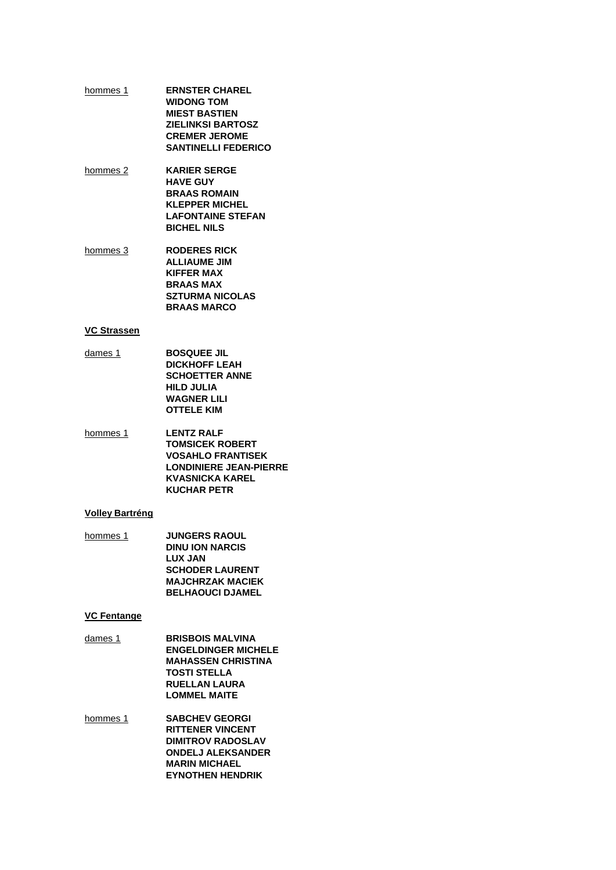- **ERNSTER CHAREL** hommes 1 **WIDONG TOM MIEST BASTIEN ZIELINKSI BARTOSZ CREMER JEROME SANTINELLI FEDERICO**
- **KARIER SERGE** hommes 2 **HAVE GUY BRAAS ROMAIN KLEPPER MICHEL LAFONTAINE STEFAN BICHEL NILS**
- **RODERES RICK** hommes 3 **ALLIAUME JIM KIFFER MAX BRAAS MAX SZTURMA NICOLAS BRAAS MARCO**

#### **VC Strassen**

- **BOSQUEE JIL** dames 1 **DICKHOFF LEAH SCHOETTER ANNE HILD JULIA WAGNER LILI OTTELE KIM**
- hommes 1 **LENTZ RALF TOMSICEK ROBERT VOSAHLO FRANTISEK LONDINIERE JEAN-PIERRE KVASNICKA KAREL KUCHAR PETR**

## **Volley Bartréng**

**JUNGERS RAOUL** hommes 1 **DINU ION NARCIS LUX JAN SCHODER LAURENT MAJCHRZAK MACIEK BELHAOUCI DJAMEL** 

#### **VC Fentange**

- dames 1 **BRISBOIS MALVINA ENGELDINGER MICHELE MAHASSEN CHRISTINA TOSTI STELLA RUELLAN LAURA LOMMEL MAITE**
- **SABCHEV GEORGI** hommes 1 **RITTENER VINCENT DIMITROV RADOSLAV ONDELJ ALEKSANDER MARIN MICHAEL EYNOTHEN HENDRIK**